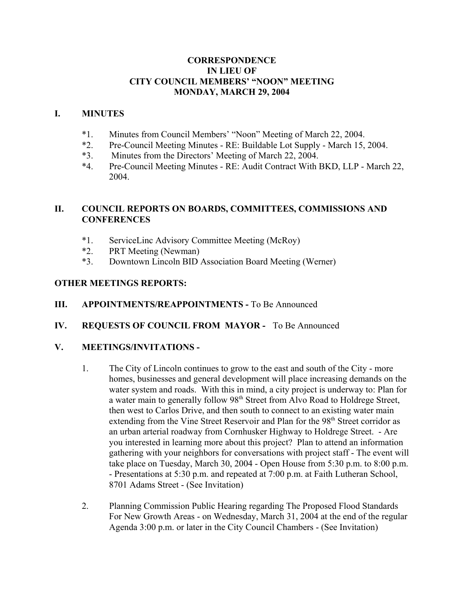## **CORRESPONDENCE IN LIEU OF CITY COUNCIL MEMBERS' "NOON" MEETING MONDAY, MARCH 29, 2004**

## **I. MINUTES**

- \*1. Minutes from Council Members' "Noon" Meeting of March 22, 2004.
- \*2. Pre-Council Meeting Minutes RE: Buildable Lot Supply March 15, 2004.
- \*3. Minutes from the Directors' Meeting of March 22, 2004.
- \*4. Pre-Council Meeting Minutes RE: Audit Contract With BKD, LLP March 22, 2004.

# **II. COUNCIL REPORTS ON BOARDS, COMMITTEES, COMMISSIONS AND CONFERENCES**

- \*1. ServiceLinc Advisory Committee Meeting (McRoy)
- \*2. PRT Meeting (Newman)
- \*3. Downtown Lincoln BID Association Board Meeting (Werner)

# **OTHER MEETINGS REPORTS:**

- **III.** APPOINTMENTS/REAPPOINTMENTS To Be Announced
- **IV. REQUESTS OF COUNCIL FROM MAYOR** To Be Announced

## **V. MEETINGS/INVITATIONS -**

- 1. The City of Lincoln continues to grow to the east and south of the City more homes, businesses and general development will place increasing demands on the water system and roads. With this in mind, a city project is underway to: Plan for a water main to generally follow 98<sup>th</sup> Street from Alvo Road to Holdrege Street, then west to Carlos Drive, and then south to connect to an existing water main extending from the Vine Street Reservoir and Plan for the 98<sup>th</sup> Street corridor as an urban arterial roadway from Cornhusker Highway to Holdrege Street. - Are you interested in learning more about this project? Plan to attend an information gathering with your neighbors for conversations with project staff - The event will take place on Tuesday, March 30, 2004 - Open House from 5:30 p.m. to 8:00 p.m. - Presentations at 5:30 p.m. and repeated at 7:00 p.m. at Faith Lutheran School, 8701 Adams Street - (See Invitation)
- 2. Planning Commission Public Hearing regarding The Proposed Flood Standards For New Growth Areas - on Wednesday, March 31, 2004 at the end of the regular Agenda 3:00 p.m. or later in the City Council Chambers - (See Invitation)